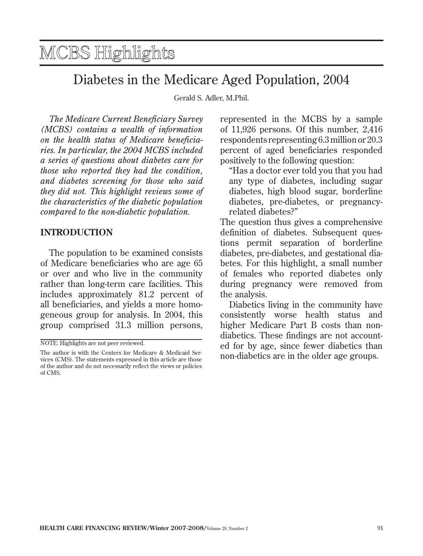## <span id="page-0-0"></span>MCBS Highlights

## Diabetes in the Medicare Aged Population, 2004

Gerald S. Adler, M.Phil.

*The Medicare Current Beneficiary Survey (MCBS) contains a wealth of information on the health status of Medicare beneficiaries. In particular, the 2004 MCBS included a series of questions about diabetes care for those who reported they had the condition, and diabetes screening for those who said they did not. This highlight reviews some of the characteristics of the diabetic population compared to the non-diabetic population.* 

## **intrODUCtiOn**

 group comprised 31.3 million persons, The population to be examined consists of Medicare beneficiaries who are age 65 or over and who live in the community rather than long-term care facilities. This includes approximately 81.2 percent of all beneficiaries, and yields a more homogeneous group for analysis. In 2004, this

represented in the MCBS by a sample of 11,926 persons. Of this number, 2,416 respondents representing 6.3 million or 20.3 percent of aged beneficiaries responded positively to the following question:

 "Has a doctor ever told you that you had diabetes, high blood sugar, borderline any type of diabetes, including sugar diabetes, pre-diabetes, or pregnancyrelated diabetes?"

The question thus gives a comprehensive definition of diabetes. Subsequent questions permit separation of borderline diabetes, pre-diabetes, and gestational diabetes. For this highlight, a small number of females who reported diabetes only during pregnancy were removed from the analysis.

Diabetics living in the community have consistently worse health status and higher Medicare Part B costs than nondiabetics. These findings are not accounted for by age, since fewer diabetics than non-diabetics are in the older age groups.

NOTE: Highlights are not peer reviewed.

The author is with the Centers for Medicare & Medicaid Services (CMS). The statements expressed in this article are those of the author and do not necessarily reflect the views or policies of CMS.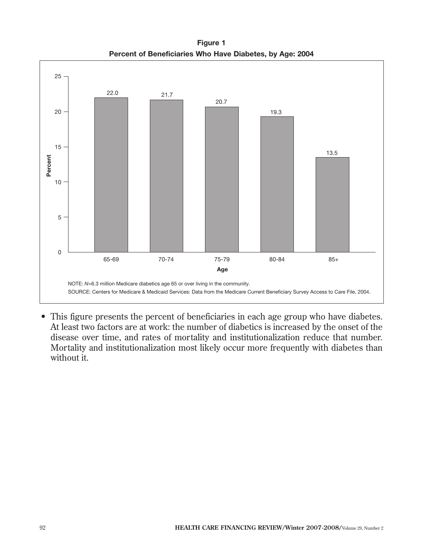**Figure 1 Percent of Beneficiaries Who Have Diabetes, by Age: 2004** 



 • This figure presents the percent of beneficiaries in each age group who have diabetes. At least two factors are at work: the number of diabetics is increased by the onset of the disease over time, and rates of mortality and institutionalization reduce that number. Mortality and institutionalization most likely occur more frequently with diabetes than without it.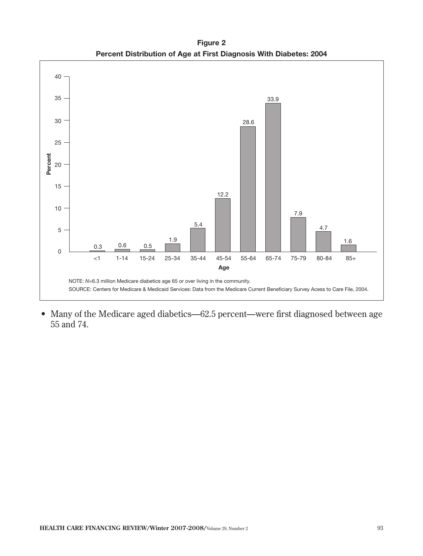**Figure 2 Percent Distribution of Age at First Diagnosis With Diabetes: 2004**



• Many of the Medicare aged diabetics—62.5 percent—were first diagnosed between age 55 and 74.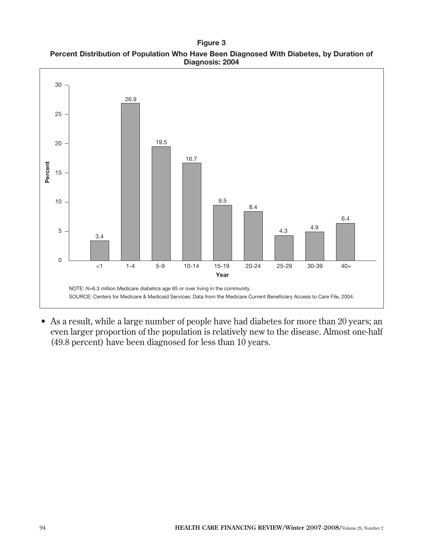**Figure 3 Percent Distribution of Population Who Have Been Diagnosed With Diabetes, by Duration of Diagnosis: 2004**



 • As a result, while a large number of people have had diabetes for more than 20 years; an even larger proportion of the population is relatively new to the disease. Almost one-half (49.8 percent) have been diagnosed for less than 10 years.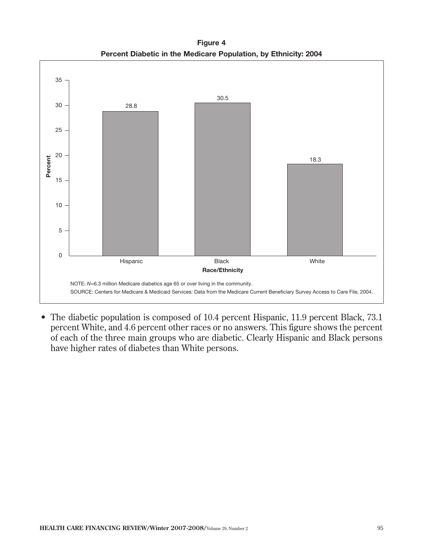**Figure 4 [Percent Diabetic in the Medicare Population, by Ethnicity: 2004](#page-10-0)**



• The diabetic population is composed of 10.4 percent Hispanic, 11.9 percent Black, 73.1 percent White, and 4.6 percent other races or no answers. This figure shows the percent of each of the three main groups who are diabetic. Clearly Hispanic and Black persons have higher rates of diabetes than White persons.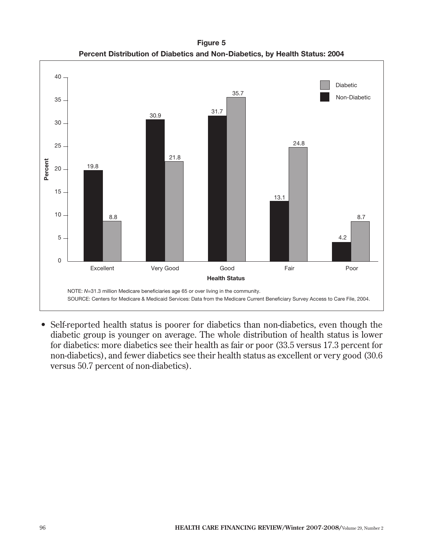**Figure 5 Percent Distribution of Diabetics and Non-Diabetics, by Health Status: 2004**



 • Self-reported health status is poorer for diabetics than non-diabetics, even though the diabetic group is younger on average. The whole distribution of health status is lower for diabetics: more diabetics see their health as fair or poor (33.5 versus 17.3 percent for non-diabetics), and fewer diabetics see their health status as excellent or very good (30.6 versus 50.7 percent of non-diabetics).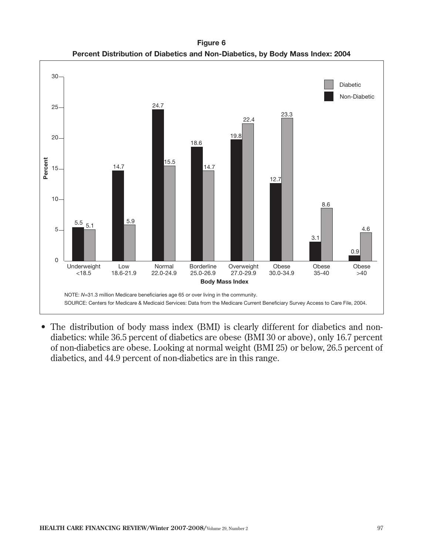**Figure 6 Percent Distribution of Diabetics and Non-Diabetics, by Body Mass Index: 2004**



• The distribution of body mass index (BMI) is clearly different for diabetics and nondiabetics: while 36.5 percent of diabetics are obese (BMI 30 or above), only 16.7 percent of non-diabetics are obese. Looking at normal weight (BMI 25) or below, 26.5 percent of diabetics, and 44.9 percent of non-diabetics are in this range.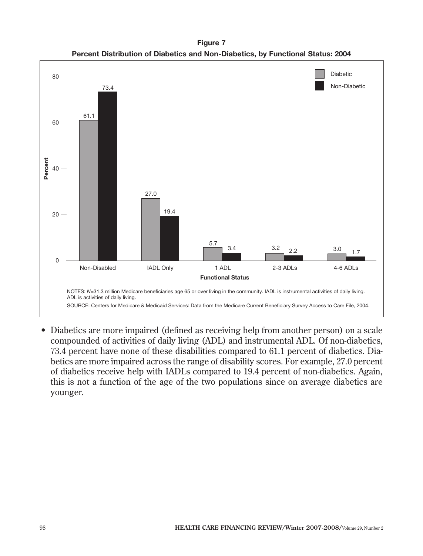**Figure 7 Percent Distribution of Diabetics and Non-Diabetics, by Functional Status: 2004** 



 • Diabetics are more impaired (defined as receiving help from another person) on a scale compounded of activities of daily living (ADL) and instrumental ADL. Of non-diabetics, 73.4 percent have none of these disabilities compared to 61.1 percent of diabetics. Diabetics are more impaired across the range of disability scores. For example, 27.0 percent of diabetics receive help with IADLs compared to 19.4 percent of non-diabetics. Again, this is not a function of the age of the two populations since on average diabetics are younger.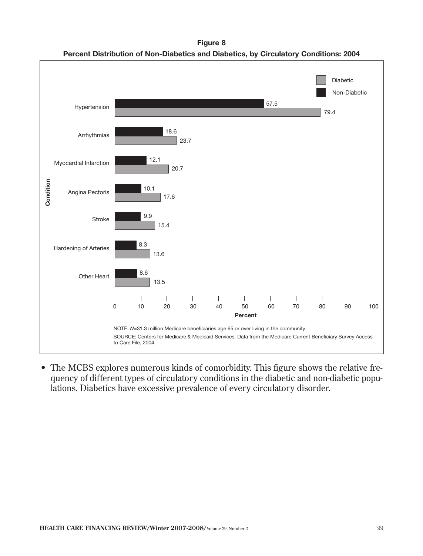**Figure 8 Percent Distribution of Non-Diabetics and Diabetics, by Circulatory Conditions: 2004**



 • The MCBS explores numerous kinds of comorbidity. This figure shows the relative frequency of different types of circulatory conditions in the diabetic and non-diabetic populations. Diabetics have excessive prevalence of every circulatory disorder.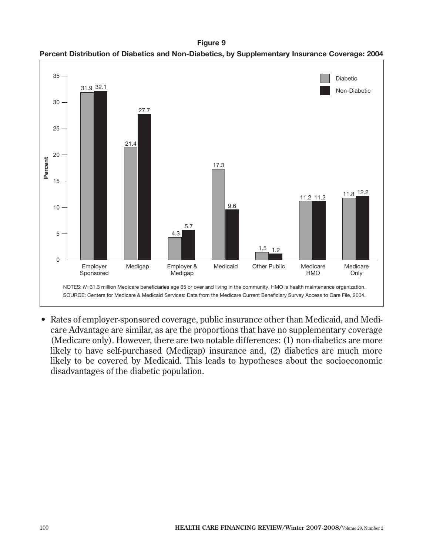**Figure 9 Percent Distribution of Diabetics and Non-Diabetics, by Supplementary Insurance Coverage: 2004**



 • Rates of employer-sponsored coverage, public insurance other than Medicaid, and Medicare Advantage are similar, as are the proportions that have no supplementary coverage (Medicare only). However, there are two notable differences: (1) non-diabetics are more likely to have self-purchased (Medigap) insurance and, (2) diabetics are much more likely to be covered by Medicaid. This leads to hypotheses about the socioeconomic disadvantages of the diabetic population.